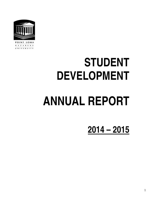

POINT LOMA N A Z A R E N E UNIVERSITY

# **STUDENT DEVELOPMENT ANNUAL REPORT**

**2014 – 2015**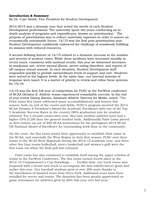## Introduction & Summary

By Dr. Caye Smith, Vice President for Student Development

2014-2015 was a dynamic year that tested the mettle of each Student Development professional. The university spent two years conducting an in depth analysis of programs and expenditures, known as 'prioritization.' The purpose of prioritization was to reduce university expenses in order to assure an economically sustainable future. 14/15 was the first post-prioritization year. Student Development confidently embraced the challenge of seamlessly fulfilling its mission with reduced resources.

A second defining feature of 14/15 related to a dramatic increase in the number and severity of student crises. While these incidents have increased steadily in recent years, consistent with national trends, this year we witnessed increases in marijuana use, severe mental illness, severe eating disorders, and reports of off campus sexual assault. In each situation, Student Development staff responded quickly to provide extraordinary levels of support and care. Students were served at the highest levels. At the same time, our internal systems of response were taxed. It is a matter of priority to review and refine these systems for 15/16.

14/15 was the first full year of competition for PLNU in the PacWest conference of NCAA Division II. Athletic teams experienced remarkable success. In his end of year review Danny Barnts, Assistant Athletic Director for Media, noted, "The Point Loma Sea Lions celebrated many accomplishments and honors this season, both on and of the courts and fields. PLNU's program received the 2014 NCAA Division II President's Award for Academic Excellence with one of the Top 3 Academic Success Rates in the country (98% graduation rate for studentathletes). For a second consecutive year, Sea Lion student-athletes have had a higher GPA (3.28) than the general student body. Additionally Point Loma placed as first-runner up out of 292 NCAA institutions for the prestigious 2014 NCAA DII National Award of Excellence for outstanding work done in the community.

On the court, the Sea Lions seized their opportunity to establish their name in the NCAA, and especially the West Region in their first season. PLNU sent three teams to the NCAA West Regionals during the 2014-15 academic year, and three other Sea Lion teams (volleyball, men's basketball and women's golf) were the first team out when the final poll was released.

. . . Point Loma has also continued to establish itself among the upper echelon of teams in the PacWest Conference. The Sea Lions earned fourth place in the 2014-15 Commissioner's Cup Standings. . . . Facility-wise, our track venue was reopened with a brand new track to accompany the new infield/soccer grass laid earlier this year. Our baseball stadium grew to over 200 seats thanks to the installation of donated seats from Petco Park. Additional seats have been installed for soccer and tennis. The donation has been greatly appreciated as game attendance for athletics grew by 26% this year over last year."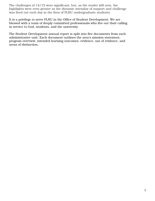The challenges of 14/15 were significant, but, as the reader will note, the highlights were even greater as the dynamic interplay of support and challenge was lived out each day in the lives of PLNU undergraduate students.

It is a privilege to serve PLNU in the Office of Student Development. We are blessed with a team of deeply committed professionals who live out their calling in service to God, students, and the university.

The Student Development annual report is split into five documents from each administrative unit. Each document outlines the area's mission statement, program overview, intended learning outcomes, evidence, use of evidence, and areas of distinction.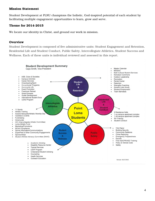## Mission Statement

Student Development at PLNU champions the holistic, God-inspired potential of each student by facilitating multiple engagement opportunities to learn, grow and serve.

# Theme for 2014-2015

We locate our identity in Christ, and ground our work in mission.

### **Overview**

Student Development is composed of five administrative units: Student Engagement and Retention, Residential Life and Student Conduct, Public Safety, Intercollegiate Athletics, Student Success and Wellness. Each of these units is individual reviewed and assessed in this report.